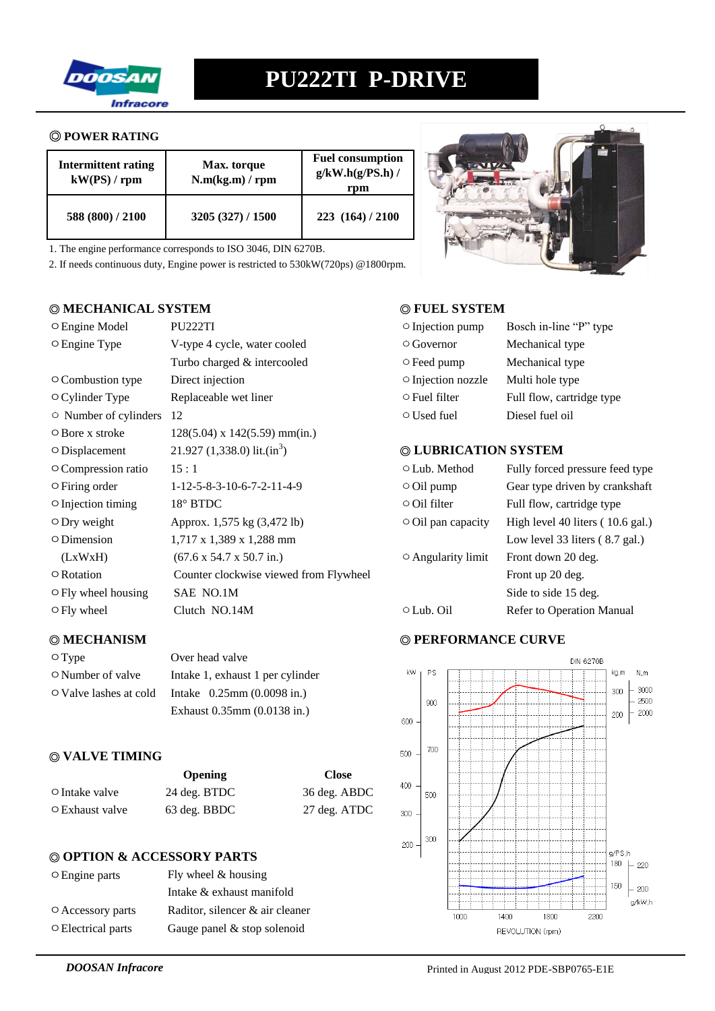

### ◎ **POWER RATING**

| <b>Intermittent rating</b><br>kW(PS) / rpm | Max. torque<br>N.m(kg.m) / rpm | <b>Fuel consumption</b><br>$g/kW.h(g/PS.h)$ /<br>rpm |
|--------------------------------------------|--------------------------------|------------------------------------------------------|
| 588 (800) / 2100                           | 3205 (327) / 1500              | 223(164)/2100                                        |

1. The engine performance corresponds to ISO 3046, DIN 6270B.

2. If needs continuous duty, Engine power is restricted to 530kW(720ps) @1800rpm.

# ◎ **MECHANICAL SYSTEM** ◎ **FUEL SYSTEM**

| O Engine Model              | PU222TI                                      | $\circ$ Injection pump   | Bosch in-line "P" type                   |
|-----------------------------|----------------------------------------------|--------------------------|------------------------------------------|
| O Engine Type               | V-type 4 cycle, water cooled                 | $\circ$ Governor         | Mechanical type                          |
|                             | Turbo charged & intercooled                  | ○ Feed pump              | Mechanical type                          |
| ○ Combustion type           | Direct injection                             | ○ Injection nozzle       | Multi hole type                          |
| $\circ$ Cylinder Type       | Replaceable wet liner                        | $\circ$ Fuel filter      | Full flow, cartridge type                |
| $\circ$ Number of cylinders | 12                                           | $\circ$ Used fuel        | Diesel fuel oil                          |
| $\circ$ Bore x stroke       | $128(5.04)$ x $142(5.59)$ mm(in.)            |                          |                                          |
| $\circ$ Displacement        | 21.927 (1,338.0) lit.(in <sup>3</sup> )      | © LUBRICATION SYSTEM     |                                          |
| ○ Compression ratio         | 15:1                                         | ○ Lub. Method            | Fully forced pressure feed type          |
| $\circ$ Firing order        | $1-12-5-8-3-10-6-7-2-11-4-9$                 | $\circ$ Oil pump         | Gear type driven by crankshaft           |
| $\circ$ Injection timing    | $18^\circ$ BTDC                              | $\circ$ Oil filter       | Full flow, cartridge type                |
| $\circ$ Dry weight          | Approx. 1,575 kg (3,472 lb)                  | $\circ$ Oil pan capacity | High level 40 liters (10.6 gal.)         |
| $\circ$ Dimension           | 1,717 x 1,389 x 1,288 mm                     |                          | Low level 33 liters $(8.7 \text{ gal.})$ |
| (LxWxH)                     | $(67.6 \times 54.7 \times 50.7 \text{ in.})$ | $\circ$ Angularity limit | Front down 20 deg.                       |
| $\circ$ Rotation            | Counter clockwise viewed from Flywheel       |                          | Front up 20 deg.                         |
| O Fly wheel housing         | SAE NO.1M                                    |                          | Side to side 15 deg.                     |
| $\circ$ Fly wheel           | Clutch NO.14M                                | $\circ$ Lub. Oil         | Refer to Operation Manual                |
|                             |                                              |                          |                                          |

| $\circ$ Type                 | Over head valve                  |
|------------------------------|----------------------------------|
| $\circ$ Number of valve      | Intake 1, exhaust 1 per cylinder |
| $\circ$ Valve lashes at cold | Intake $0.25$ mm $(0.0098$ in.)  |
|                              | Exhaust 0.35mm (0.0138 in.)      |

# ◎ **VALVE TIMING**

|                       | <b>Opening</b> | <b>Close</b> |
|-----------------------|----------------|--------------|
| $\circ$ Intake valve  | 24 deg. BTDC   | 36 deg. ABDC |
| $\circ$ Exhaust valve | 63 deg. BBDC   | 27 deg. ATDC |

### ◎ **OPTION & ACCESSORY PARTS**

| $\circ$ Engine parts | Fly wheel $&$ housing           |
|----------------------|---------------------------------|
|                      | Intake & exhaust manifold       |
| O Accessory parts    | Raditor, silencer & air cleaner |
| ○ Electrical parts   | Gauge panel $&$ stop solenoid   |



| $\circ$ Injection pump   | Bosch in-line "P" type    |
|--------------------------|---------------------------|
| $\circ$ Governor         | Mechanical type           |
| $\circ$ Feed pump        | Mechanical type           |
| $\circ$ Injection nozzle | Multi hole type           |
| $\circ$ Fuel filter      | Full flow, cartridge type |
| $\circ$ Used fuel        | Diesel fuel oil           |

# ) ◎ **LUBRICATION SYSTEM**

| $\circ$ Lub. Method      | Fully forced pressure feed type            |
|--------------------------|--------------------------------------------|
| $\circ$ Oil pump         | Gear type driven by crankshaft             |
| $\circ$ Oil filter       | Full flow, cartridge type                  |
| $\circ$ Oil pan capacity | High level 40 liters $(10.6 \text{ gal.})$ |
|                          | Low level 33 liters $(8.7 \text{ gal.})$   |
| $\circ$ Angularity limit | Front down 20 deg.                         |
|                          | Front up 20 deg.                           |
|                          | Side to side 15 deg.                       |
| ⊙ Lub. Oil               | <b>Refer to Operation Manual</b>           |
|                          |                                            |

# ◎ **MECHANISM** ◎ **PERFORMANCE CURVE**